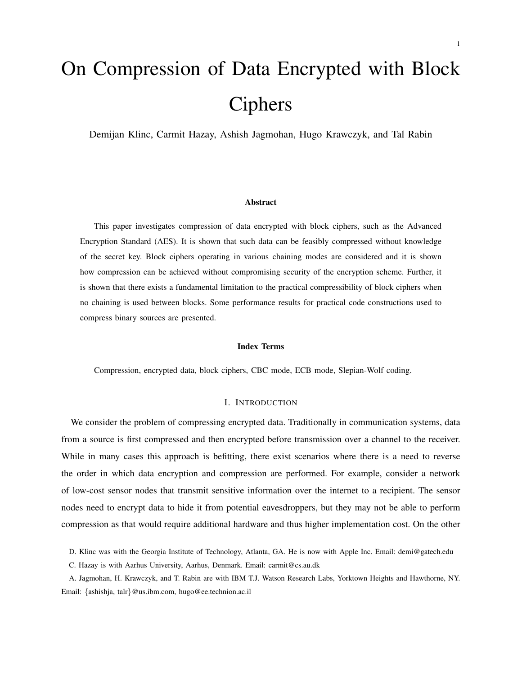# On Compression of Data Encrypted with Block Ciphers

Demijan Klinc, Carmit Hazay, Ashish Jagmohan, Hugo Krawczyk, and Tal Rabin

#### Abstract

This paper investigates compression of data encrypted with block ciphers, such as the Advanced Encryption Standard (AES). It is shown that such data can be feasibly compressed without knowledge of the secret key. Block ciphers operating in various chaining modes are considered and it is shown how compression can be achieved without compromising security of the encryption scheme. Further, it is shown that there exists a fundamental limitation to the practical compressibility of block ciphers when no chaining is used between blocks. Some performance results for practical code constructions used to compress binary sources are presented.

### Index Terms

Compression, encrypted data, block ciphers, CBC mode, ECB mode, Slepian-Wolf coding.

### I. INTRODUCTION

We consider the problem of compressing encrypted data. Traditionally in communication systems, data from a source is first compressed and then encrypted before transmission over a channel to the receiver. While in many cases this approach is befitting, there exist scenarios where there is a need to reverse the order in which data encryption and compression are performed. For example, consider a network of low-cost sensor nodes that transmit sensitive information over the internet to a recipient. The sensor nodes need to encrypt data to hide it from potential eavesdroppers, but they may not be able to perform compression as that would require additional hardware and thus higher implementation cost. On the other

D. Klinc was with the Georgia Institute of Technology, Atlanta, GA. He is now with Apple Inc. Email: demi@gatech.edu

C. Hazay is with Aarhus University, Aarhus, Denmark. Email: carmit@cs.au.dk

A. Jagmohan, H. Krawczyk, and T. Rabin are with IBM T.J. Watson Research Labs, Yorktown Heights and Hawthorne, NY. Email: {ashishja, talr}@us.ibm.com, hugo@ee.technion.ac.il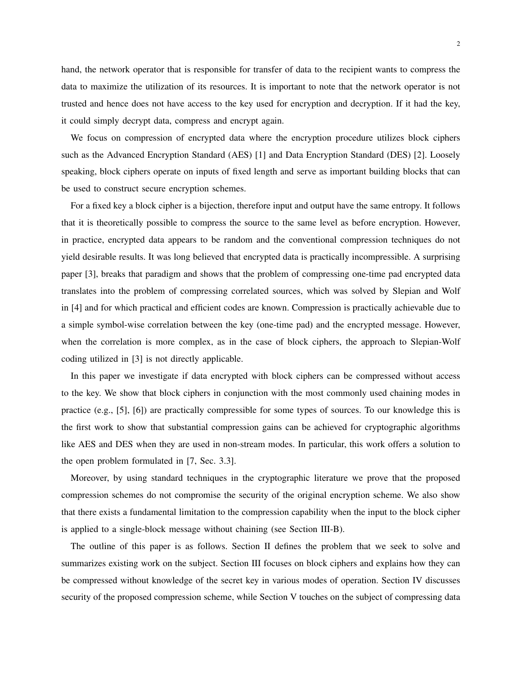hand, the network operator that is responsible for transfer of data to the recipient wants to compress the data to maximize the utilization of its resources. It is important to note that the network operator is not trusted and hence does not have access to the key used for encryption and decryption. If it had the key, it could simply decrypt data, compress and encrypt again.

We focus on compression of encrypted data where the encryption procedure utilizes block ciphers such as the Advanced Encryption Standard (AES) [1] and Data Encryption Standard (DES) [2]. Loosely speaking, block ciphers operate on inputs of fixed length and serve as important building blocks that can be used to construct secure encryption schemes.

For a fixed key a block cipher is a bijection, therefore input and output have the same entropy. It follows that it is theoretically possible to compress the source to the same level as before encryption. However, in practice, encrypted data appears to be random and the conventional compression techniques do not yield desirable results. It was long believed that encrypted data is practically incompressible. A surprising paper [3], breaks that paradigm and shows that the problem of compressing one-time pad encrypted data translates into the problem of compressing correlated sources, which was solved by Slepian and Wolf in [4] and for which practical and efficient codes are known. Compression is practically achievable due to a simple symbol-wise correlation between the key (one-time pad) and the encrypted message. However, when the correlation is more complex, as in the case of block ciphers, the approach to Slepian-Wolf coding utilized in [3] is not directly applicable.

In this paper we investigate if data encrypted with block ciphers can be compressed without access to the key. We show that block ciphers in conjunction with the most commonly used chaining modes in practice (e.g., [5], [6]) are practically compressible for some types of sources. To our knowledge this is the first work to show that substantial compression gains can be achieved for cryptographic algorithms like AES and DES when they are used in non-stream modes. In particular, this work offers a solution to the open problem formulated in [7, Sec. 3.3].

Moreover, by using standard techniques in the cryptographic literature we prove that the proposed compression schemes do not compromise the security of the original encryption scheme. We also show that there exists a fundamental limitation to the compression capability when the input to the block cipher is applied to a single-block message without chaining (see Section III-B).

The outline of this paper is as follows. Section II defines the problem that we seek to solve and summarizes existing work on the subject. Section III focuses on block ciphers and explains how they can be compressed without knowledge of the secret key in various modes of operation. Section IV discusses security of the proposed compression scheme, while Section V touches on the subject of compressing data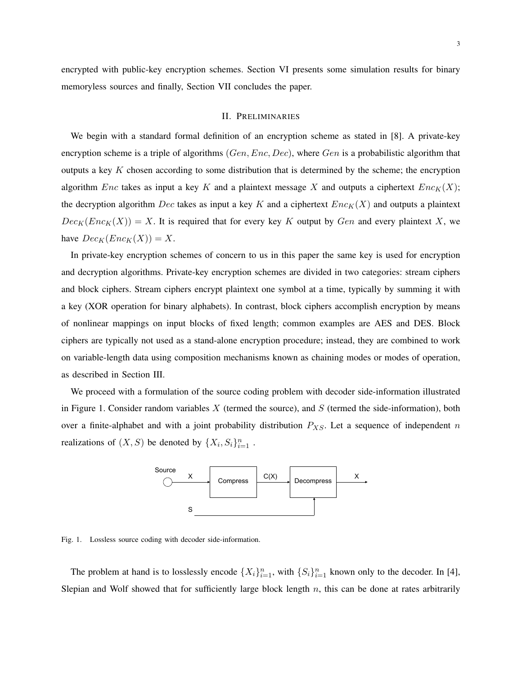encrypted with public-key encryption schemes. Section VI presents some simulation results for binary memoryless sources and finally, Section VII concludes the paper.

#### II. PRELIMINARIES

We begin with a standard formal definition of an encryption scheme as stated in [8]. A private-key encryption scheme is a triple of algorithms  $(Gen, Enc, Dec)$ , where  $Gen$  is a probabilistic algorithm that outputs a key  $K$  chosen according to some distribution that is determined by the scheme; the encryption algorithm Enc takes as input a key K and a plaintext message X and outputs a ciphertext  $Enc_K(X)$ ; the decryption algorithm Dec takes as input a key K and a ciphertext  $Enc_K(X)$  and outputs a plaintext  $Dec_K(Enc_K(X)) = X$ . It is required that for every key K output by Gen and every plaintext X, we have  $Dec_K(Enc_K(X)) = X$ .

In private-key encryption schemes of concern to us in this paper the same key is used for encryption and decryption algorithms. Private-key encryption schemes are divided in two categories: stream ciphers and block ciphers. Stream ciphers encrypt plaintext one symbol at a time, typically by summing it with a key (XOR operation for binary alphabets). In contrast, block ciphers accomplish encryption by means of nonlinear mappings on input blocks of fixed length; common examples are AES and DES. Block ciphers are typically not used as a stand-alone encryption procedure; instead, they are combined to work on variable-length data using composition mechanisms known as chaining modes or modes of operation, as described in Section III.

We proceed with a formulation of the source coding problem with decoder side-information illustrated in Figure 1. Consider random variables  $X$  (termed the source), and  $S$  (termed the side-information), both over a finite-alphabet and with a joint probability distribution  $P_{XS}$ . Let a sequence of independent n realizations of  $(X, S)$  be denoted by  $\{X_i, S_i\}_{i=1}^n$ .



Fig. 1. Lossless source coding with decoder side-information.

The problem at hand is to losslessly encode  $\{X_i\}_{i=1}^n$ , with  $\{S_i\}_{i=1}^n$  known only to the decoder. In [4], Slepian and Wolf showed that for sufficiently large block length  $n$ , this can be done at rates arbitrarily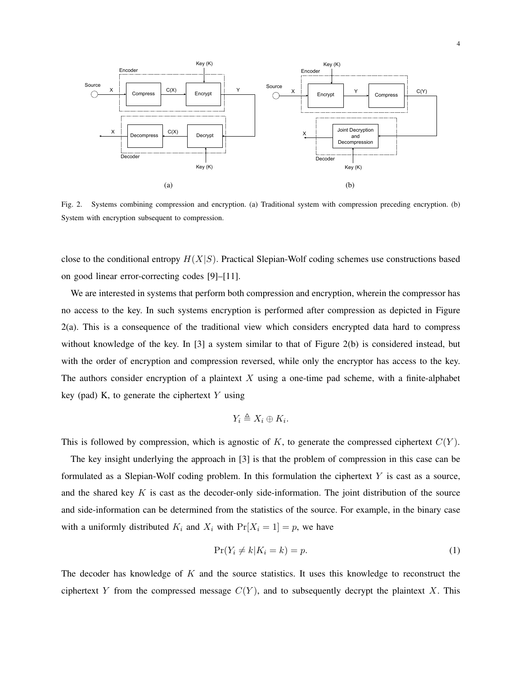

Fig. 2. Systems combining compression and encryption. (a) Traditional system with compression preceding encryption. (b) System with encryption subsequent to compression.

close to the conditional entropy  $H(X|S)$ . Practical Slepian-Wolf coding schemes use constructions based on good linear error-correcting codes [9]–[11].

We are interested in systems that perform both compression and encryption, wherein the compressor has no access to the key. In such systems encryption is performed after compression as depicted in Figure 2(a). This is a consequence of the traditional view which considers encrypted data hard to compress without knowledge of the key. In [3] a system similar to that of Figure 2(b) is considered instead, but with the order of encryption and compression reversed, while only the encryptor has access to the key. The authors consider encryption of a plaintext  $X$  using a one-time pad scheme, with a finite-alphabet key (pad) K, to generate the ciphertext  $Y$  using

$$
Y_i \triangleq X_i \oplus K_i.
$$

This is followed by compression, which is agnostic of K, to generate the compressed ciphertext  $C(Y)$ .

The key insight underlying the approach in [3] is that the problem of compression in this case can be formulated as a Slepian-Wolf coding problem. In this formulation the ciphertext  $Y$  is cast as a source, and the shared key  $K$  is cast as the decoder-only side-information. The joint distribution of the source and side-information can be determined from the statistics of the source. For example, in the binary case with a uniformly distributed  $K_i$  and  $X_i$  with  $Pr[X_i = 1] = p$ , we have

$$
\Pr(Y_i \neq k | K_i = k) = p. \tag{1}
$$

The decoder has knowledge of  $K$  and the source statistics. It uses this knowledge to reconstruct the ciphertext Y from the compressed message  $C(Y)$ , and to subsequently decrypt the plaintext X. This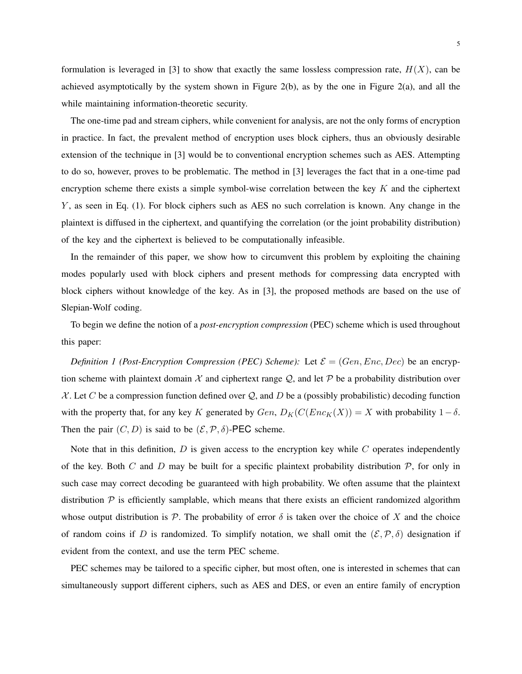formulation is leveraged in [3] to show that exactly the same lossless compression rate,  $H(X)$ , can be achieved asymptotically by the system shown in Figure 2(b), as by the one in Figure 2(a), and all the while maintaining information-theoretic security.

The one-time pad and stream ciphers, while convenient for analysis, are not the only forms of encryption in practice. In fact, the prevalent method of encryption uses block ciphers, thus an obviously desirable extension of the technique in [3] would be to conventional encryption schemes such as AES. Attempting to do so, however, proves to be problematic. The method in [3] leverages the fact that in a one-time pad encryption scheme there exists a simple symbol-wise correlation between the key  $K$  and the ciphertext  $Y$ , as seen in Eq. (1). For block ciphers such as AES no such correlation is known. Any change in the plaintext is diffused in the ciphertext, and quantifying the correlation (or the joint probability distribution) of the key and the ciphertext is believed to be computationally infeasible.

In the remainder of this paper, we show how to circumvent this problem by exploiting the chaining modes popularly used with block ciphers and present methods for compressing data encrypted with block ciphers without knowledge of the key. As in [3], the proposed methods are based on the use of Slepian-Wolf coding.

To begin we define the notion of a *post-encryption compression* (PEC) scheme which is used throughout this paper:

*Definition 1 (Post-Encryption Compression (PEC) Scheme):* Let  $\mathcal{E} = (Gen, Enc, Dec)$  be an encryption scheme with plaintext domain  $\mathcal X$  and ciphertext range  $\mathcal Q$ , and let  $\mathcal P$  be a probability distribution over  $X$ . Let C be a compression function defined over Q, and D be a (possibly probabilistic) decoding function with the property that, for any key K generated by  $Gen, D_K(C(Enc_K(X)) = X$  with probability  $1 - \delta$ . Then the pair  $(C, D)$  is said to be  $(\mathcal{E}, \mathcal{P}, \delta)$ -PEC scheme.

Note that in this definition,  $D$  is given access to the encryption key while  $C$  operates independently of the key. Both C and D may be built for a specific plaintext probability distribution  $P$ , for only in such case may correct decoding be guaranteed with high probability. We often assume that the plaintext distribution  $P$  is efficiently samplable, which means that there exists an efficient randomized algorithm whose output distribution is P. The probability of error  $\delta$  is taken over the choice of X and the choice of random coins if D is randomized. To simplify notation, we shall omit the  $(\mathcal{E}, \mathcal{P}, \delta)$  designation if evident from the context, and use the term PEC scheme.

PEC schemes may be tailored to a specific cipher, but most often, one is interested in schemes that can simultaneously support different ciphers, such as AES and DES, or even an entire family of encryption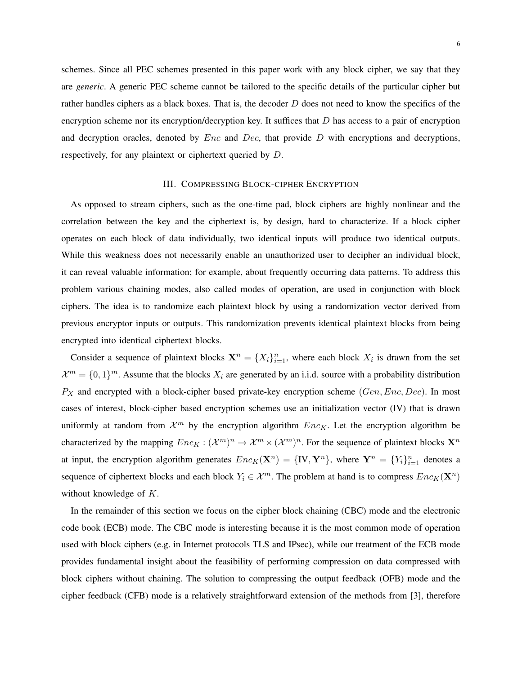schemes. Since all PEC schemes presented in this paper work with any block cipher, we say that they are *generic*. A generic PEC scheme cannot be tailored to the specific details of the particular cipher but rather handles ciphers as a black boxes. That is, the decoder  $D$  does not need to know the specifics of the encryption scheme nor its encryption/decryption key. It suffices that  $D$  has access to a pair of encryption and decryption oracles, denoted by  $Enc$  and  $Dec$ , that provide  $D$  with encryptions and decryptions, respectively, for any plaintext or ciphertext queried by D.

### III. COMPRESSING BLOCK-CIPHER ENCRYPTION

As opposed to stream ciphers, such as the one-time pad, block ciphers are highly nonlinear and the correlation between the key and the ciphertext is, by design, hard to characterize. If a block cipher operates on each block of data individually, two identical inputs will produce two identical outputs. While this weakness does not necessarily enable an unauthorized user to decipher an individual block, it can reveal valuable information; for example, about frequently occurring data patterns. To address this problem various chaining modes, also called modes of operation, are used in conjunction with block ciphers. The idea is to randomize each plaintext block by using a randomization vector derived from previous encryptor inputs or outputs. This randomization prevents identical plaintext blocks from being encrypted into identical ciphertext blocks.

Consider a sequence of plaintext blocks  $X^n = \{X_i\}_{i=1}^n$ , where each block  $X_i$  is drawn from the set  $\mathcal{X}^m = \{0,1\}^m$ . Assume that the blocks  $X_i$  are generated by an i.i.d. source with a probability distribution  $P_X$  and encrypted with a block-cipher based private-key encryption scheme ( $Gen, Enc, Dec$ ). In most cases of interest, block-cipher based encryption schemes use an initialization vector (IV) that is drawn uniformly at random from  $\mathcal{X}^m$  by the encryption algorithm  $Enc_K$ . Let the encryption algorithm be characterized by the mapping  $Enc_K : (\mathcal{X}^m)^n \to \mathcal{X}^m \times (\mathcal{X}^m)^n$ . For the sequence of plaintext blocks  $\mathbf{X}^n$ at input, the encryption algorithm generates  $Enc_K(\mathbf{X}^n) = \{IV, \mathbf{Y}^n\}$ , where  $\mathbf{Y}^n = \{Y_i\}_{i=1}^n$  denotes a sequence of ciphertext blocks and each block  $Y_i \in \mathcal{X}^m$ . The problem at hand is to compress  $Enc_K(\mathbf{X}^n)$ without knowledge of K.

In the remainder of this section we focus on the cipher block chaining (CBC) mode and the electronic code book (ECB) mode. The CBC mode is interesting because it is the most common mode of operation used with block ciphers (e.g. in Internet protocols TLS and IPsec), while our treatment of the ECB mode provides fundamental insight about the feasibility of performing compression on data compressed with block ciphers without chaining. The solution to compressing the output feedback (OFB) mode and the cipher feedback (CFB) mode is a relatively straightforward extension of the methods from [3], therefore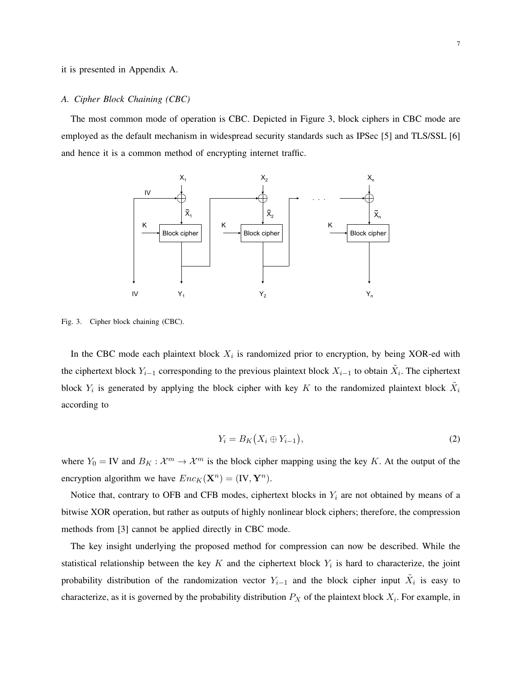it is presented in Appendix A.

#### *A. Cipher Block Chaining (CBC)*

The most common mode of operation is CBC. Depicted in Figure 3, block ciphers in CBC mode are employed as the default mechanism in widespread security standards such as IPSec [5] and TLS/SSL [6] and hence it is a common method of encrypting internet traffic.



Fig. 3. Cipher block chaining (CBC).

In the CBC mode each plaintext block  $X_i$  is randomized prior to encryption, by being XOR-ed with the ciphertext block  $Y_{i-1}$  corresponding to the previous plaintext block  $X_{i-1}$  to obtain  $\tilde{X}_i$ . The ciphertext block  $Y_i$  is generated by applying the block cipher with key K to the randomized plaintext block  $\tilde{X}_i$ according to

$$
Y_i = B_K(X_i \oplus Y_{i-1}),\tag{2}
$$

where  $Y_0 = IV$  and  $B_K : \mathcal{X}^m \to \mathcal{X}^m$  is the block cipher mapping using the key K. At the output of the encryption algorithm we have  $Enc_K(\mathbf{X}^n) = (\mathbf{IV}, \mathbf{Y}^n)$ .

Notice that, contrary to OFB and CFB modes, ciphertext blocks in  $Y_i$  are not obtained by means of a bitwise XOR operation, but rather as outputs of highly nonlinear block ciphers; therefore, the compression methods from [3] cannot be applied directly in CBC mode.

The key insight underlying the proposed method for compression can now be described. While the statistical relationship between the key  $K$  and the ciphertext block  $Y_i$  is hard to characterize, the joint probability distribution of the randomization vector  $Y_{i-1}$  and the block cipher input  $\tilde{X}_i$  is easy to characterize, as it is governed by the probability distribution  $P_X$  of the plaintext block  $X_i$ . For example, in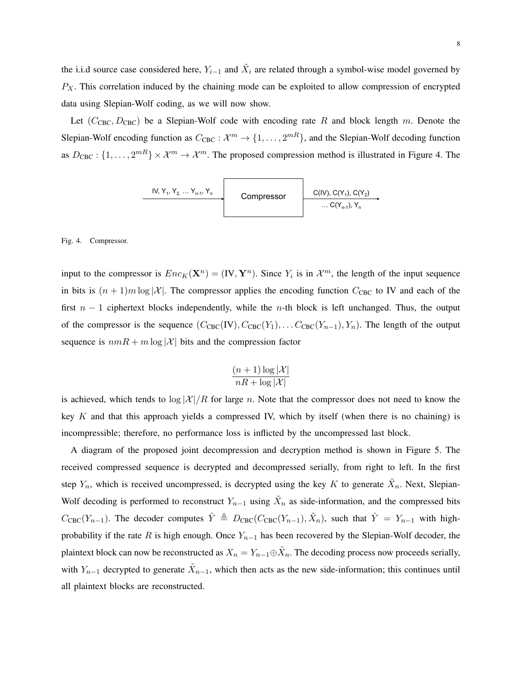the i.i.d source case considered here,  $Y_{i-1}$  and  $\tilde{X}_i$  are related through a symbol-wise model governed by  $P_X$ . This correlation induced by the chaining mode can be exploited to allow compression of encrypted data using Slepian-Wolf coding, as we will now show.

Let  $(C_{\text{CBC}}, D_{\text{CBC}})$  be a Slepian-Wolf code with encoding rate R and block length m. Denote the Slepian-Wolf encoding function as  $C_{\text{CBC}}: \mathcal{X}^m \to \{1, \ldots, 2^{mR}\}\text{, and the Slepian-Wolf decoding function}$ as  $D_{\text{CBC}}: \{1, \ldots, 2^{mR}\} \times \mathcal{X}^m \to \mathcal{X}^m$ . The proposed compression method is illustrated in Figure 4. The

Compressor IV, Y1, Y2, … Yn-1, Yn C(IV), C(Y1), C(Y2) … C(Yn-1), Yn

#### Fig. 4. Compressor.

input to the compressor is  $Enc_K(\mathbf{X}^n) = (\mathbf{IV}, \mathbf{Y}^n)$ . Since  $Y_i$  is in  $\mathcal{X}^m$ , the length of the input sequence in bits is  $(n + 1)m \log |\mathcal{X}|$ . The compressor applies the encoding function  $C_{\text{CBC}}$  to IV and each of the first  $n - 1$  ciphertext blocks independently, while the *n*-th block is left unchanged. Thus, the output of the compressor is the sequence  $(C_{\text{CBC}}(IV), C_{\text{CBC}}(Y_1), \ldots C_{\text{CBC}}(Y_{n-1}), Y_n)$ . The length of the output sequence is  $nmR + m \log |\mathcal{X}|$  bits and the compression factor

$$
\frac{(n+1)\log |\mathcal{X}|}{nR + \log |\mathcal{X}|}
$$

is achieved, which tends to  $\log |\mathcal{X}|/R$  for large n. Note that the compressor does not need to know the key  $K$  and that this approach yields a compressed IV, which by itself (when there is no chaining) is incompressible; therefore, no performance loss is inflicted by the uncompressed last block.

A diagram of the proposed joint decompression and decryption method is shown in Figure 5. The received compressed sequence is decrypted and decompressed serially, from right to left. In the first step  $Y_n$ , which is received uncompressed, is decrypted using the key K to generate  $\tilde{X}_n$ . Next, Slepian-Wolf decoding is performed to reconstruct  $Y_{n-1}$  using  $\tilde{X}_n$  as side-information, and the compressed bits  $C_{\text{CBC}}(Y_{n-1})$ . The decoder computes  $\hat{Y} \triangleq D_{\text{CBC}}(C_{\text{CBC}}(Y_{n-1}), \tilde{X}_n)$ , such that  $\hat{Y} = Y_{n-1}$  with highprobability if the rate R is high enough. Once  $Y_{n-1}$  has been recovered by the Slepian-Wolf decoder, the plaintext block can now be reconstructed as  $X_n = Y_{n-1} \oplus \tilde{X}_n$ . The decoding process now proceeds serially, with  $Y_{n-1}$  decrypted to generate  $\tilde{X}_{n-1}$ , which then acts as the new side-information; this continues until all plaintext blocks are reconstructed.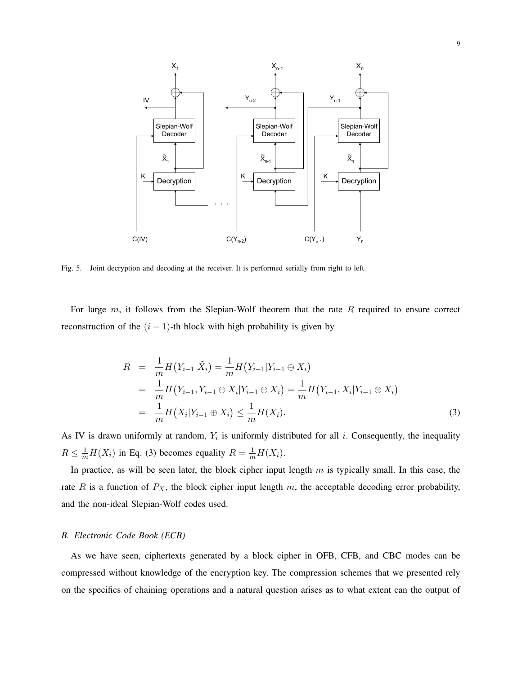

Fig. 5. Joint decryption and decoding at the receiver. It is performed serially from right to left.

For large  $m$ , it follows from the Slepian-Wolf theorem that the rate  $R$  required to ensure correct reconstruction of the  $(i - 1)$ -th block with high probability is given by

$$
R = \frac{1}{m} H(Y_{i-1}|\tilde{X}_i) = \frac{1}{m} H(Y_{i-1}|Y_{i-1} \oplus X_i)
$$
  
\n
$$
= \frac{1}{m} H(Y_{i-1}, Y_{i-1} \oplus X_i | Y_{i-1} \oplus X_i) = \frac{1}{m} H(Y_{i-1}, X_i | Y_{i-1} \oplus X_i)
$$
  
\n
$$
= \frac{1}{m} H(X_i | Y_{i-1} \oplus X_i) \le \frac{1}{m} H(X_i).
$$
\n(3)

As IV is drawn uniformly at random,  $Y_i$  is uniformly distributed for all i. Consequently, the inequality  $R \leq \frac{1}{m}H(X_i)$  in Eq. (3) becomes equality  $R = \frac{1}{m}H(X_i)$ .

In practice, as will be seen later, the block cipher input length  $m$  is typically small. In this case, the rate R is a function of  $P_X$ , the block cipher input length m, the acceptable decoding error probability, and the non-ideal Slepian-Wolf codes used.

#### *B. Electronic Code Book (ECB)*

As we have seen, ciphertexts generated by a block cipher in OFB, CFB, and CBC modes can be compressed without knowledge of the encryption key. The compression schemes that we presented rely on the specifics of chaining operations and a natural question arises as to what extent can the output of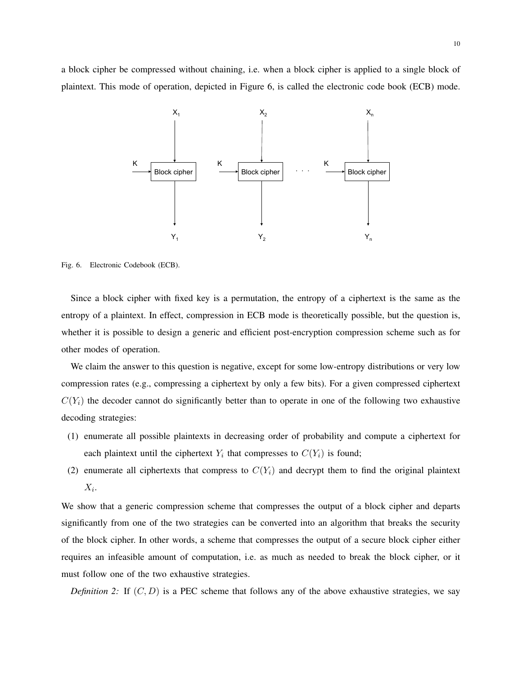a block cipher be compressed without chaining, i.e. when a block cipher is applied to a single block of plaintext. This mode of operation, depicted in Figure 6, is called the electronic code book (ECB) mode.



Fig. 6. Electronic Codebook (ECB).

Since a block cipher with fixed key is a permutation, the entropy of a ciphertext is the same as the entropy of a plaintext. In effect, compression in ECB mode is theoretically possible, but the question is, whether it is possible to design a generic and efficient post-encryption compression scheme such as for other modes of operation.

We claim the answer to this question is negative, except for some low-entropy distributions or very low compression rates (e.g., compressing a ciphertext by only a few bits). For a given compressed ciphertext  $C(Y_i)$  the decoder cannot do significantly better than to operate in one of the following two exhaustive decoding strategies:

- (1) enumerate all possible plaintexts in decreasing order of probability and compute a ciphertext for each plaintext until the ciphertext  $Y_i$  that compresses to  $C(Y_i)$  is found;
- (2) enumerate all ciphertexts that compress to  $C(Y_i)$  and decrypt them to find the original plaintext  $X_i$ .

We show that a generic compression scheme that compresses the output of a block cipher and departs significantly from one of the two strategies can be converted into an algorithm that breaks the security of the block cipher. In other words, a scheme that compresses the output of a secure block cipher either requires an infeasible amount of computation, i.e. as much as needed to break the block cipher, or it must follow one of the two exhaustive strategies.

*Definition 2:* If  $(C, D)$  is a PEC scheme that follows any of the above exhaustive strategies, we say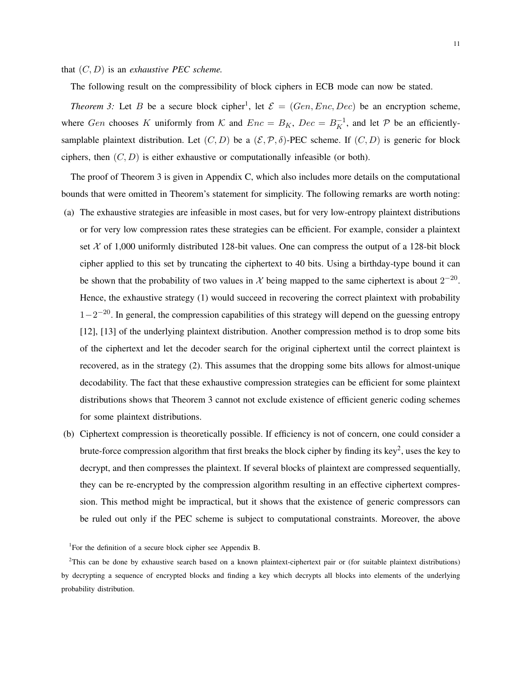that (C, D) is an *exhaustive PEC scheme.*

The following result on the compressibility of block ciphers in ECB mode can now be stated.

*Theorem 3:* Let B be a secure block cipher<sup>1</sup>, let  $\mathcal{E} = (Gen, Enc, Dec)$  be an encryption scheme, where Gen chooses K uniformly from K and  $Enc = B_K$ ,  $Dec = B_K^{-1}$ , and let P be an efficientlysamplable plaintext distribution. Let  $(C, D)$  be a  $(\mathcal{E}, \mathcal{P}, \delta)$ -PEC scheme. If  $(C, D)$  is generic for block ciphers, then  $(C, D)$  is either exhaustive or computationally infeasible (or both).

The proof of Theorem 3 is given in Appendix C, which also includes more details on the computational bounds that were omitted in Theorem's statement for simplicity. The following remarks are worth noting:

- (a) The exhaustive strategies are infeasible in most cases, but for very low-entropy plaintext distributions or for very low compression rates these strategies can be efficient. For example, consider a plaintext set  $\chi$  of 1,000 uniformly distributed 128-bit values. One can compress the output of a 128-bit block cipher applied to this set by truncating the ciphertext to 40 bits. Using a birthday-type bound it can be shown that the probability of two values in X being mapped to the same ciphertext is about  $2^{-20}$ . Hence, the exhaustive strategy (1) would succeed in recovering the correct plaintext with probability  $1-2^{-20}$ . In general, the compression capabilities of this strategy will depend on the guessing entropy [12], [13] of the underlying plaintext distribution. Another compression method is to drop some bits of the ciphertext and let the decoder search for the original ciphertext until the correct plaintext is recovered, as in the strategy (2). This assumes that the dropping some bits allows for almost-unique decodability. The fact that these exhaustive compression strategies can be efficient for some plaintext distributions shows that Theorem 3 cannot not exclude existence of efficient generic coding schemes for some plaintext distributions.
- (b) Ciphertext compression is theoretically possible. If efficiency is not of concern, one could consider a brute-force compression algorithm that first breaks the block cipher by finding its key<sup>2</sup>, uses the key to decrypt, and then compresses the plaintext. If several blocks of plaintext are compressed sequentially, they can be re-encrypted by the compression algorithm resulting in an effective ciphertext compression. This method might be impractical, but it shows that the existence of generic compressors can be ruled out only if the PEC scheme is subject to computational constraints. Moreover, the above

 $2$ This can be done by exhaustive search based on a known plaintext-ciphertext pair or (for suitable plaintext distributions) by decrypting a sequence of encrypted blocks and finding a key which decrypts all blocks into elements of the underlying probability distribution.

<sup>&</sup>lt;sup>1</sup>For the definition of a secure block cipher see Appendix B.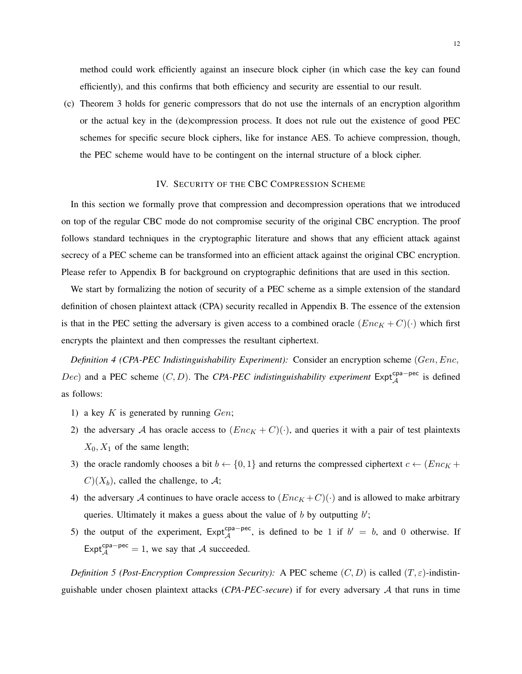method could work efficiently against an insecure block cipher (in which case the key can found efficiently), and this confirms that both efficiency and security are essential to our result.

(c) Theorem 3 holds for generic compressors that do not use the internals of an encryption algorithm or the actual key in the (de)compression process. It does not rule out the existence of good PEC schemes for specific secure block ciphers, like for instance AES. To achieve compression, though, the PEC scheme would have to be contingent on the internal structure of a block cipher.

#### IV. SECURITY OF THE CBC COMPRESSION SCHEME

In this section we formally prove that compression and decompression operations that we introduced on top of the regular CBC mode do not compromise security of the original CBC encryption. The proof follows standard techniques in the cryptographic literature and shows that any efficient attack against secrecy of a PEC scheme can be transformed into an efficient attack against the original CBC encryption. Please refer to Appendix B for background on cryptographic definitions that are used in this section.

We start by formalizing the notion of security of a PEC scheme as a simple extension of the standard definition of chosen plaintext attack (CPA) security recalled in Appendix B. The essence of the extension is that in the PEC setting the adversary is given access to a combined oracle  $(Enc<sub>K</sub> + C)(.)$  which first encrypts the plaintext and then compresses the resultant ciphertext.

*Definition 4 (CPA-PEC Indistinguishability Experiment):* Consider an encryption scheme (Gen, Enc,  $(Dec)$  and a PEC scheme  $(C, D)$ . The *CPA-PEC indistinguishability experiment* Expt<sup>cpa−pec</sup> is defined as follows:

- 1) a key  $K$  is generated by running  $Gen$ ;
- 2) the adversary A has oracle access to  $(Enc<sub>K</sub> + C)(·)$ , and queries it with a pair of test plaintexts  $X_0, X_1$  of the same length;
- 3) the oracle randomly chooses a bit  $b \leftarrow \{0, 1\}$  and returns the compressed ciphertext  $c \leftarrow (Enc_K +$  $C(X_b)$ , called the challenge, to A;
- 4) the adversary A continues to have oracle access to  $(Enc<sub>K</sub> + C)(.)$  and is allowed to make arbitrary queries. Ultimately it makes a guess about the value of  $b$  by outputting  $b'$ ;
- 5) the output of the experiment,  $Exp<sup>cpa-pec</sup>$ , is defined to be 1 if  $b' = b$ , and 0 otherwise. If Expt<sup>cpa−pec</sup> = 1, we say that A succeeded.

*Definition 5 (Post-Encryption Compression Security):* A PEC scheme  $(C, D)$  is called  $(T, \varepsilon)$ -indistinguishable under chosen plaintext attacks (*CPA-PEC-secure*) if for every adversary A that runs in time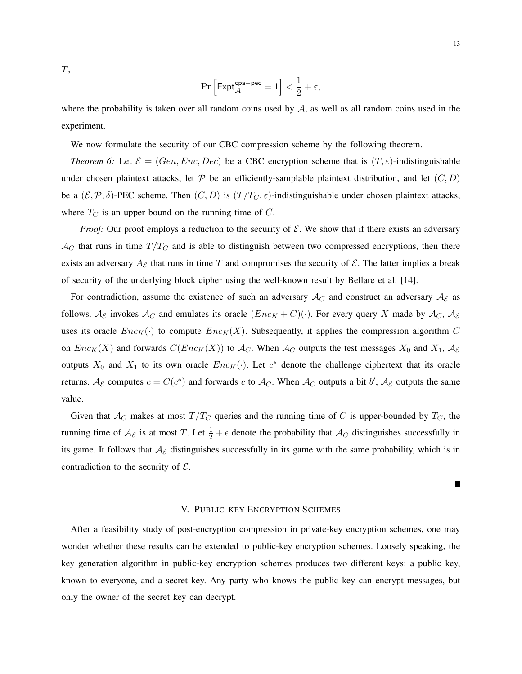T,

$$
\Pr\left[\mathsf{Expt}_{\mathcal{A}}^{\mathsf{cpa-pec}}=1\right]<\frac{1}{2}+\varepsilon,
$$

where the probability is taken over all random coins used by  $A$ , as well as all random coins used in the experiment.

We now formulate the security of our CBC compression scheme by the following theorem.

*Theorem 6:* Let  $\mathcal{E} = (Gen, Enc, Dec)$  be a CBC encryption scheme that is  $(T, \varepsilon)$ -indistinguishable under chosen plaintext attacks, let  $P$  be an efficiently-samplable plaintext distribution, and let  $(C, D)$ be a  $(\mathcal{E}, \mathcal{P}, \delta)$ -PEC scheme. Then  $(C, D)$  is  $(T/T_C, \varepsilon)$ -indistinguishable under chosen plaintext attacks, where  $T_C$  is an upper bound on the running time of  $C$ .

*Proof:* Our proof employs a reduction to the security of  $E$ . We show that if there exists an adversary  $\mathcal{A}_C$  that runs in time  $T/T_C$  and is able to distinguish between two compressed encryptions, then there exists an adversary  $A_{\mathcal{E}}$  that runs in time T and compromises the security of  $\mathcal{E}$ . The latter implies a break of security of the underlying block cipher using the well-known result by Bellare et al. [14].

For contradiction, assume the existence of such an adversary  $A_C$  and construct an adversary  $A_{\mathcal{E}}$  as follows.  $\mathcal{A}_{\mathcal{E}}$  invokes  $\mathcal{A}_{C}$  and emulates its oracle  $(Enc_K + C)(\cdot)$ . For every query X made by  $\mathcal{A}_{C}$ ,  $\mathcal{A}_{\mathcal{E}}$ uses its oracle  $Enc_K(\cdot)$  to compute  $Enc_K(X)$ . Subsequently, it applies the compression algorithm C on  $Enc_K(X)$  and forwards  $C(Enc_K(X))$  to  $\mathcal{A}_C$ . When  $\mathcal{A}_C$  outputs the test messages  $X_0$  and  $X_1$ ,  $\mathcal{A}_\mathcal{E}$ outputs  $X_0$  and  $X_1$  to its own oracle  $Enc_K(\cdot)$ . Let  $c^*$  denote the challenge ciphertext that its oracle returns.  $A_{\mathcal{E}}$  computes  $c = C(c^*)$  and forwards c to  $A_C$ . When  $A_C$  outputs a bit  $b'$ ,  $A_{\mathcal{E}}$  outputs the same value.

Given that  $A_C$  makes at most  $T/T_C$  queries and the running time of C is upper-bounded by  $T_C$ , the running time of  $\mathcal{A}_{\mathcal{E}}$  is at most T. Let  $\frac{1}{2} + \epsilon$  denote the probability that  $\mathcal{A}_{C}$  distinguishes successfully in its game. It follows that  $A_{\mathcal{E}}$  distinguishes successfully in its game with the same probability, which is in contradiction to the security of  $\mathcal{E}$ .

#### V. PUBLIC-KEY ENCRYPTION SCHEMES

After a feasibility study of post-encryption compression in private-key encryption schemes, one may wonder whether these results can be extended to public-key encryption schemes. Loosely speaking, the key generation algorithm in public-key encryption schemes produces two different keys: a public key, known to everyone, and a secret key. Any party who knows the public key can encrypt messages, but only the owner of the secret key can decrypt.

 $\blacksquare$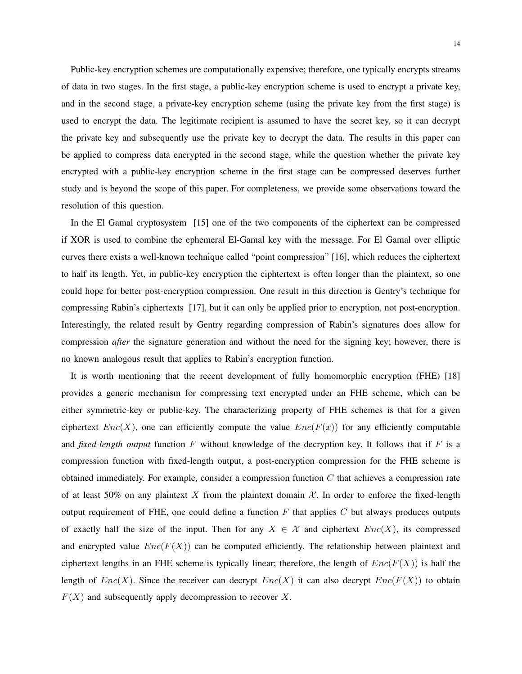Public-key encryption schemes are computationally expensive; therefore, one typically encrypts streams of data in two stages. In the first stage, a public-key encryption scheme is used to encrypt a private key, and in the second stage, a private-key encryption scheme (using the private key from the first stage) is used to encrypt the data. The legitimate recipient is assumed to have the secret key, so it can decrypt the private key and subsequently use the private key to decrypt the data. The results in this paper can be applied to compress data encrypted in the second stage, while the question whether the private key encrypted with a public-key encryption scheme in the first stage can be compressed deserves further study and is beyond the scope of this paper. For completeness, we provide some observations toward the resolution of this question.

In the El Gamal cryptosystem [15] one of the two components of the ciphertext can be compressed if XOR is used to combine the ephemeral El-Gamal key with the message. For El Gamal over elliptic curves there exists a well-known technique called "point compression" [16], which reduces the ciphertext to half its length. Yet, in public-key encryption the ciphtertext is often longer than the plaintext, so one could hope for better post-encryption compression. One result in this direction is Gentry's technique for compressing Rabin's ciphertexts [17], but it can only be applied prior to encryption, not post-encryption. Interestingly, the related result by Gentry regarding compression of Rabin's signatures does allow for compression *after* the signature generation and without the need for the signing key; however, there is no known analogous result that applies to Rabin's encryption function.

It is worth mentioning that the recent development of fully homomorphic encryption (FHE) [18] provides a generic mechanism for compressing text encrypted under an FHE scheme, which can be either symmetric-key or public-key. The characterizing property of FHE schemes is that for a given ciphertext  $Enc(X)$ , one can efficiently compute the value  $Enc(F(x))$  for any efficiently computable and *fixed-length output* function  $F$  without knowledge of the decryption key. It follows that if  $F$  is a compression function with fixed-length output, a post-encryption compression for the FHE scheme is obtained immediately. For example, consider a compression function C that achieves a compression rate of at least 50% on any plaintext X from the plaintext domain  $X$ . In order to enforce the fixed-length output requirement of FHE, one could define a function  $F$  that applies  $C$  but always produces outputs of exactly half the size of the input. Then for any  $X \in \mathcal{X}$  and ciphertext  $Enc(X)$ , its compressed and encrypted value  $Enc(F(X))$  can be computed efficiently. The relationship between plaintext and ciphertext lengths in an FHE scheme is typically linear; therefore, the length of  $Enc(F(X))$  is half the length of  $Enc(X)$ . Since the receiver can decrypt  $Enc(X)$  it can also decrypt  $Enc(F(X))$  to obtain  $F(X)$  and subsequently apply decompression to recover X.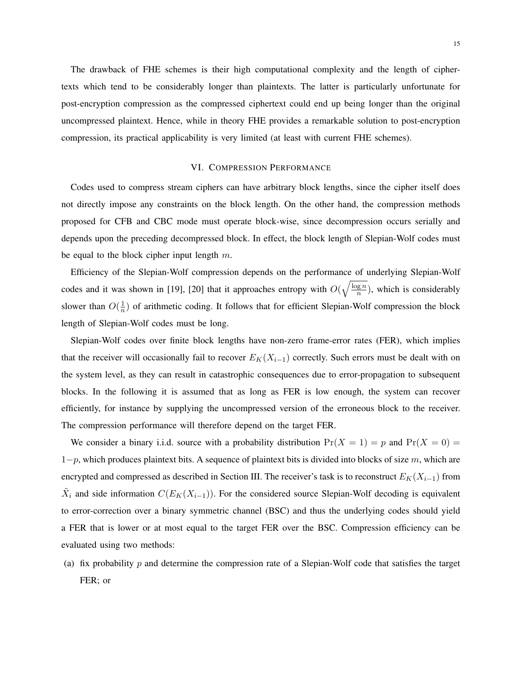The drawback of FHE schemes is their high computational complexity and the length of ciphertexts which tend to be considerably longer than plaintexts. The latter is particularly unfortunate for post-encryption compression as the compressed ciphertext could end up being longer than the original uncompressed plaintext. Hence, while in theory FHE provides a remarkable solution to post-encryption compression, its practical applicability is very limited (at least with current FHE schemes).

#### VI. COMPRESSION PERFORMANCE

Codes used to compress stream ciphers can have arbitrary block lengths, since the cipher itself does not directly impose any constraints on the block length. On the other hand, the compression methods proposed for CFB and CBC mode must operate block-wise, since decompression occurs serially and depends upon the preceding decompressed block. In effect, the block length of Slepian-Wolf codes must be equal to the block cipher input length  $m$ .

Efficiency of the Slepian-Wolf compression depends on the performance of underlying Slepian-Wolf codes and it was shown in [19], [20] that it approaches entropy with  $O(\sqrt{\frac{\log n}{n}})$  $\frac{g_n}{n}$ ), which is considerably slower than  $O(\frac{1}{n})$  $\frac{1}{n}$ ) of arithmetic coding. It follows that for efficient Slepian-Wolf compression the block length of Slepian-Wolf codes must be long.

Slepian-Wolf codes over finite block lengths have non-zero frame-error rates (FER), which implies that the receiver will occasionally fail to recover  $E_K(X_{i-1})$  correctly. Such errors must be dealt with on the system level, as they can result in catastrophic consequences due to error-propagation to subsequent blocks. In the following it is assumed that as long as FER is low enough, the system can recover efficiently, for instance by supplying the uncompressed version of the erroneous block to the receiver. The compression performance will therefore depend on the target FER.

We consider a binary i.i.d. source with a probability distribution  $Pr(X = 1) = p$  and  $Pr(X = 0) =$  $1-p$ , which produces plaintext bits. A sequence of plaintext bits is divided into blocks of size m, which are encrypted and compressed as described in Section III. The receiver's task is to reconstruct  $E_K(X_{i-1})$  from  $\tilde{X}_i$  and side information  $C(E_K(X_{i-1}))$ . For the considered source Slepian-Wolf decoding is equivalent to error-correction over a binary symmetric channel (BSC) and thus the underlying codes should yield a FER that is lower or at most equal to the target FER over the BSC. Compression efficiency can be evaluated using two methods:

(a) fix probability p and determine the compression rate of a Slepian-Wolf code that satisfies the target FER; or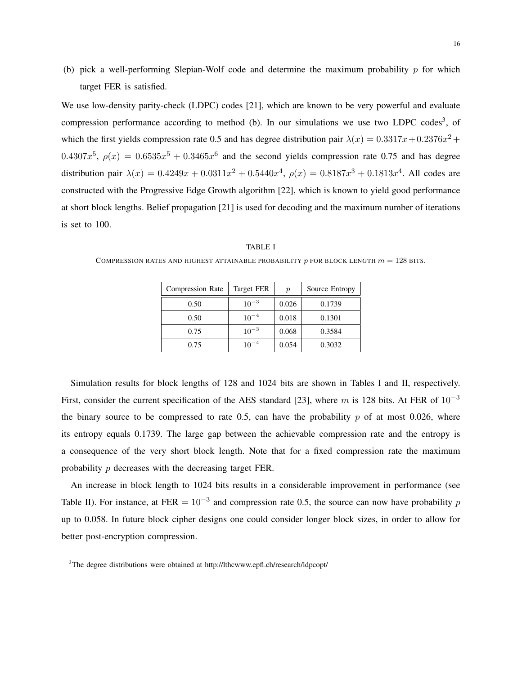(b) pick a well-performing Slepian-Wolf code and determine the maximum probability  $p$  for which target FER is satisfied.

We use low-density parity-check (LDPC) codes [21], which are known to be very powerful and evaluate compression performance according to method (b). In our simulations we use two LDPC codes<sup>3</sup>, of which the first yields compression rate 0.5 and has degree distribution pair  $\lambda(x) = 0.3317x + 0.2376x^2 +$ 0.4307 $x^5$ ,  $\rho(x) = 0.6535x^5 + 0.3465x^6$  and the second yields compression rate 0.75 and has degree distribution pair  $\lambda(x) = 0.4249x + 0.0311x^2 + 0.5440x^4$ ,  $\rho(x) = 0.8187x^3 + 0.1813x^4$ . All codes are constructed with the Progressive Edge Growth algorithm [22], which is known to yield good performance at short block lengths. Belief propagation [21] is used for decoding and the maximum number of iterations is set to 100.

| <b>Compression Rate</b> | Target FER | $\boldsymbol{p}$ | Source Entropy |
|-------------------------|------------|------------------|----------------|
| 0.50                    | $10^{-3}$  | 0.026            | 0.1739         |
| 0.50                    | $10^{-4}$  | 0.018            | 0.1301         |
| 0.75                    | $10^{-3}$  | 0.068            | 0.3584         |
| 0.75                    | $10^{-4}$  | 0.054            | 0.3032         |

TABLE I COMPRESSION RATES AND HIGHEST ATTAINABLE PROBABILITY  $p$  for block length  $m = 128$  bits.

Simulation results for block lengths of 128 and 1024 bits are shown in Tables I and II, respectively. First, consider the current specification of the AES standard [23], where m is 128 bits. At FER of  $10^{-3}$ the binary source to be compressed to rate 0.5, can have the probability  $p$  of at most 0.026, where its entropy equals 0.1739. The large gap between the achievable compression rate and the entropy is a consequence of the very short block length. Note that for a fixed compression rate the maximum probability p decreases with the decreasing target FER.

An increase in block length to 1024 bits results in a considerable improvement in performance (see Table II). For instance, at FER  $= 10^{-3}$  and compression rate 0.5, the source can now have probability p up to 0.058. In future block cipher designs one could consider longer block sizes, in order to allow for better post-encryption compression.

<sup>&</sup>lt;sup>3</sup>The degree distributions were obtained at http://lthcwww.epfl.ch/research/ldpcopt/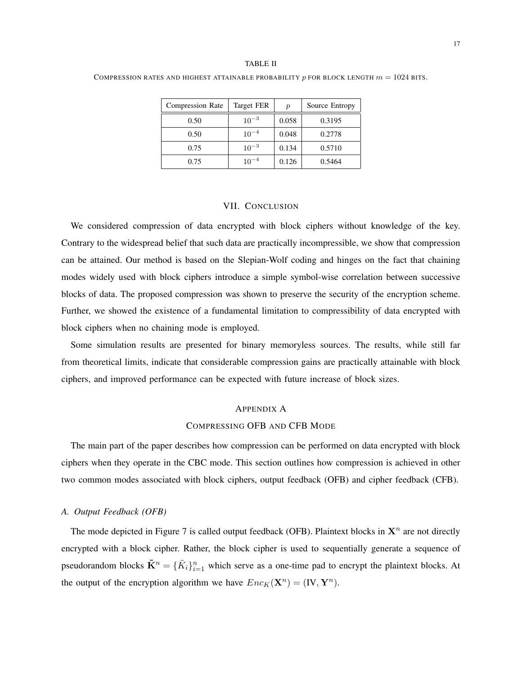#### TABLE II

#### COMPRESSION RATES AND HIGHEST ATTAINABLE PROBABILITY p FOR BLOCK LENGTH  $m = 1024$  BITS.

| <b>Compression Rate</b> | Target FER | $\boldsymbol{p}$ | Source Entropy |
|-------------------------|------------|------------------|----------------|
| 0.50                    | $10^{-3}$  | 0.058            | 0.3195         |
| 0.50                    | $10^{-4}$  | 0.048            | 0.2778         |
| 0.75                    | $10^{-3}$  | 0.134            | 0.5710         |
| 0.75                    | $10^{-4}$  | 0.126            | 0.5464         |

# VII. CONCLUSION

We considered compression of data encrypted with block ciphers without knowledge of the key. Contrary to the widespread belief that such data are practically incompressible, we show that compression can be attained. Our method is based on the Slepian-Wolf coding and hinges on the fact that chaining modes widely used with block ciphers introduce a simple symbol-wise correlation between successive blocks of data. The proposed compression was shown to preserve the security of the encryption scheme. Further, we showed the existence of a fundamental limitation to compressibility of data encrypted with block ciphers when no chaining mode is employed.

Some simulation results are presented for binary memoryless sources. The results, while still far from theoretical limits, indicate that considerable compression gains are practically attainable with block ciphers, and improved performance can be expected with future increase of block sizes.

# APPENDIX A

# COMPRESSING OFB AND CFB MODE

The main part of the paper describes how compression can be performed on data encrypted with block ciphers when they operate in the CBC mode. This section outlines how compression is achieved in other two common modes associated with block ciphers, output feedback (OFB) and cipher feedback (CFB).

# *A. Output Feedback (OFB)*

The mode depicted in Figure 7 is called output feedback (OFB). Plaintext blocks in  $X^n$  are not directly encrypted with a block cipher. Rather, the block cipher is used to sequentially generate a sequence of pseudorandom blocks  $\tilde{\mathbf{K}}^n = {\{\tilde{K}_i\}}_{i=1}^n$  which serve as a one-time pad to encrypt the plaintext blocks. At the output of the encryption algorithm we have  $Enc_K(\mathbf{X}^n) = (\mathbf{IV}, \mathbf{Y}^n)$ .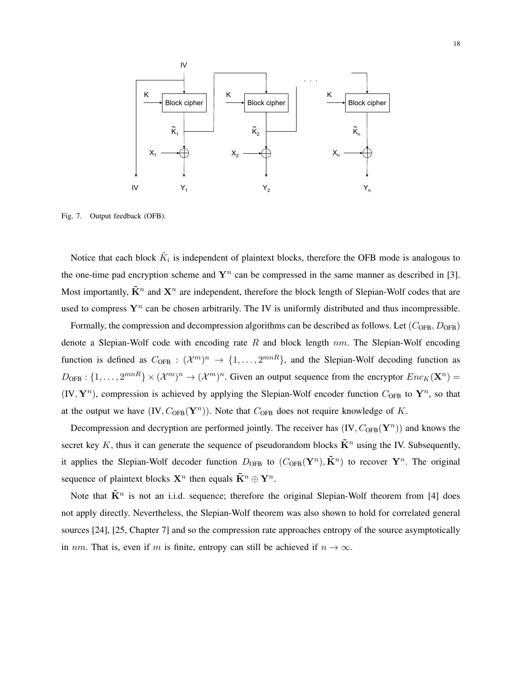

Fig. 7. Output feedback (OFB).

Notice that each block  $\tilde{K}_i$  is independent of plaintext blocks, therefore the OFB mode is analogous to the one-time pad encryption scheme and  $Y^n$  can be compressed in the same manner as described in [3]. Most importantly,  $\tilde{\mathbf{K}}^n$  and  $\mathbf{X}^n$  are independent, therefore the block length of Slepian-Wolf codes that are used to compress  $Y^n$  can be chosen arbitrarily. The IV is uniformly distributed and thus incompressible.

Formally, the compression and decompression algorithms can be described as follows. Let  $(C_{\text{OFB}}, D_{\text{OFB}})$ denote a Slepian-Wolf code with encoding rate R and block length  $nm$ . The Slepian-Wolf encoding function is defined as  $C_{\text{OFB}}: (\mathcal{X}^m)^n \to \{1,\ldots,2^{mnR}\}\text{, and the Slepian-Wolf decoding function as }$  $D_{\text{OFB}}: \{1,\ldots,2^{mnR}\}\times(\mathcal{X}^m)^n\to(\mathcal{X}^m)^n$ . Given an output sequence from the encryptor  $Enc_K(\mathbf{X}^n)$  $(IV, Y^n)$ , compression is achieved by applying the Slepian-Wolf encoder function  $C_{OFB}$  to  $Y^n$ , so that at the output we have  $(IV, C_{OFB}(Y^n))$ . Note that  $C_{OFB}$  does not require knowledge of K.

Decompression and decryption are performed jointly. The receiver has  $(IV, C_{OFB}(\mathbf{Y}^n))$  and knows the secret key K, thus it can generate the sequence of pseudorandom blocks  $\tilde{\mathbf{K}}^n$  using the IV. Subsequently, it applies the Slepian-Wolf decoder function  $D_{\rm OFB}$  to  $(C_{\rm OFB}({\bf Y}^n), \tilde{\bf K}^n)$  to recover  ${\bf Y}^n$ . The original sequence of plaintext blocks  $\mathbf{X}^n$  then equals  $\tilde{\mathbf{K}}^n \oplus \mathbf{Y}^n$ .

Note that  $\tilde{\mathbf{K}}^n$  is not an i.i.d. sequence; therefore the original Slepian-Wolf theorem from [4] does not apply directly. Nevertheless, the Slepian-Wolf theorem was also shown to hold for correlated general sources [24], [25, Chapter 7] and so the compression rate approaches entropy of the source asymptotically in nm. That is, even if m is finite, entropy can still be achieved if  $n \to \infty$ .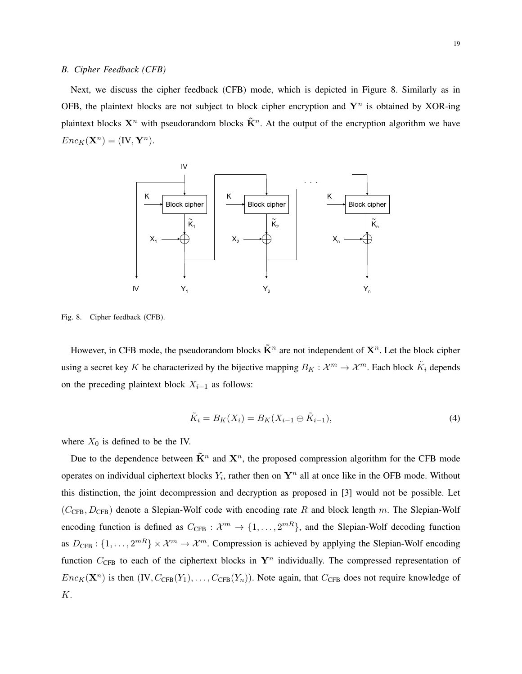#### *B. Cipher Feedback (CFB)*

Next, we discuss the cipher feedback (CFB) mode, which is depicted in Figure 8. Similarly as in OFB, the plaintext blocks are not subject to block cipher encryption and  $Y^n$  is obtained by XOR-ing plaintext blocks  $X^n$  with pseudorandom blocks  $\tilde{K}^n$ . At the output of the encryption algorithm we have  $Enc_K(\mathbf{X}^n) = (\mathbf{IV}, \mathbf{Y}^n).$ 



Fig. 8. Cipher feedback (CFB).

However, in CFB mode, the pseudorandom blocks  $\tilde{\mathbf{K}}^n$  are not independent of  $\mathbf{X}^n$ . Let the block cipher using a secret key K be characterized by the bijective mapping  $B_K: \mathcal{X}^m \to \mathcal{X}^m$ . Each block  $\tilde{K}_i$  depends on the preceding plaintext block  $X_{i-1}$  as follows:

$$
\tilde{K}_i = B_K(X_i) = B_K(X_{i-1} \oplus \tilde{K}_{i-1}),
$$
\n(4)

where  $X_0$  is defined to be the IV.

Due to the dependence between  $\tilde{\mathbf{K}}^n$  and  $\mathbf{X}^n$ , the proposed compression algorithm for the CFB mode operates on individual ciphertext blocks  $Y_i$ , rather then on  $\mathbf{Y}^n$  all at once like in the OFB mode. Without this distinction, the joint decompression and decryption as proposed in [3] would not be possible. Let  $(C_{\text{CFB}}, D_{\text{CFB}})$  denote a Slepian-Wolf code with encoding rate R and block length m. The Slepian-Wolf encoding function is defined as  $C_{\text{CFB}}: \mathcal{X}^m \to \{1, \ldots, 2^{mR}\}\text{, and the Slepian-Wolf decoding function}$ as  $D_{\text{CFB}}: \{1,\ldots,2^{mR}\}\times\mathcal{X}^m\to\mathcal{X}^m$ . Compression is achieved by applying the Slepian-Wolf encoding function  $C_{\text{CFB}}$  to each of the ciphertext blocks in  $\mathbf{Y}^n$  individually. The compressed representation of  $Enc_K(\mathbf{X}^n)$  is then  $(IV, C_{CFB}(Y_1), \ldots, C_{CFB}(Y_n))$ . Note again, that  $C_{CFB}$  does not require knowledge of K.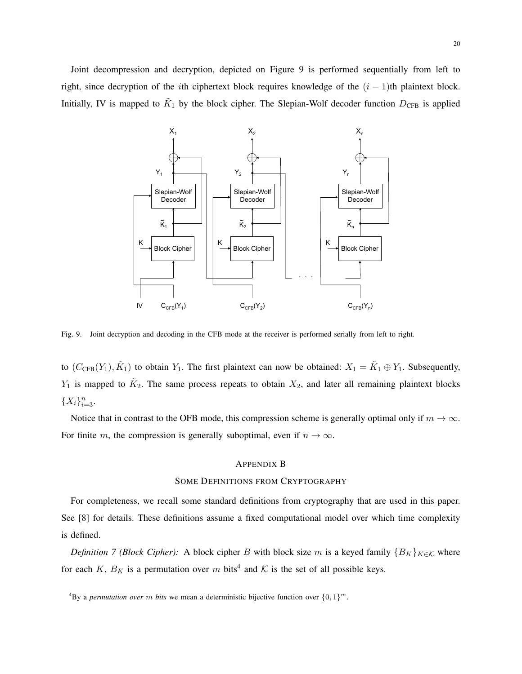Joint decompression and decryption, depicted on Figure 9 is performed sequentially from left to right, since decryption of the *i*th ciphertext block requires knowledge of the  $(i - 1)$ th plaintext block. Initially, IV is mapped to  $K_1$  by the block cipher. The Slepian-Wolf decoder function  $D_{\text{CFB}}$  is applied



Fig. 9. Joint decryption and decoding in the CFB mode at the receiver is performed serially from left to right.

to  $(C_{CFB}(Y_1), \tilde{K}_1)$  to obtain  $Y_1$ . The first plaintext can now be obtained:  $X_1 = \tilde{K}_1 \oplus Y_1$ . Subsequently,  $Y_1$  is mapped to  $\tilde{K}_2$ . The same process repeats to obtain  $X_2$ , and later all remaining plaintext blocks  $\{X_i\}_{i=3}^n$ .

Notice that in contrast to the OFB mode, this compression scheme is generally optimal only if  $m \to \infty$ . For finite m, the compression is generally suboptimal, even if  $n \to \infty$ .

## APPENDIX B

#### SOME DEFINITIONS FROM CRYPTOGRAPHY

For completeness, we recall some standard definitions from cryptography that are used in this paper. See [8] for details. These definitions assume a fixed computational model over which time complexity is defined.

*Definition 7 (Block Cipher):* A block cipher B with block size m is a keyed family  ${B_K}_{K \in K}$  where for each K,  $B_K$  is a permutation over m bits<sup>4</sup> and K is the set of all possible keys.

<sup>&</sup>lt;sup>4</sup>By a *permutation over* m bits we mean a deterministic bijective function over  $\{0,1\}^m$ .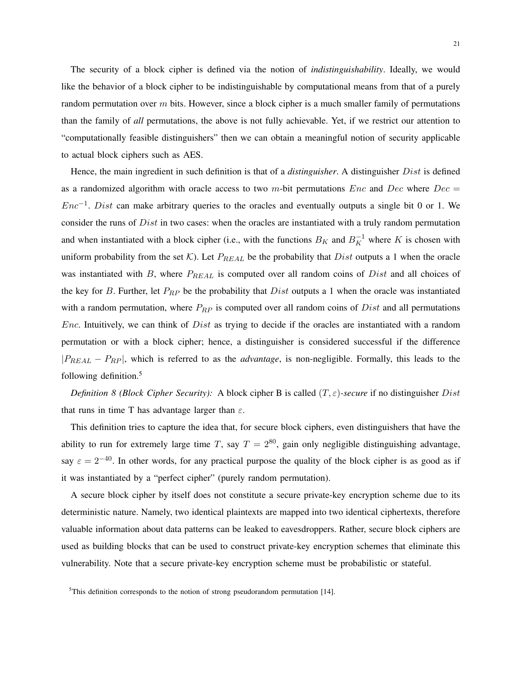The security of a block cipher is defined via the notion of *indistinguishability*. Ideally, we would like the behavior of a block cipher to be indistinguishable by computational means from that of a purely random permutation over  $m$  bits. However, since a block cipher is a much smaller family of permutations than the family of *all* permutations, the above is not fully achievable. Yet, if we restrict our attention to "computationally feasible distinguishers" then we can obtain a meaningful notion of security applicable to actual block ciphers such as AES.

Hence, the main ingredient in such definition is that of a *distinguisher*. A distinguisher Dist is defined as a randomized algorithm with oracle access to two m-bit permutations  $Enc$  and  $Dec$  where  $Dec =$  $Enc^{-1}$ . Dist can make arbitrary queries to the oracles and eventually outputs a single bit 0 or 1. We consider the runs of *Dist* in two cases: when the oracles are instantiated with a truly random permutation and when instantiated with a block cipher (i.e., with the functions  $B_K$  and  $B_K^{-1}$  where K is chosen with uniform probability from the set K). Let  $P_{REAL}$  be the probability that  $Dist$  outputs a 1 when the oracle was instantiated with  $B$ , where  $P_{REAL}$  is computed over all random coins of  $Dist$  and all choices of the key for B. Further, let  $P_{RP}$  be the probability that  $Dist$  outputs a 1 when the oracle was instantiated with a random permutation, where  $P_{RP}$  is computed over all random coins of  $Dist$  and all permutations *Enc.* Intuitively, we can think of *Dist* as trying to decide if the oracles are instantiated with a random permutation or with a block cipher; hence, a distinguisher is considered successful if the difference |PREAL − PRP |, which is referred to as the *advantage*, is non-negligible. Formally, this leads to the following definition.<sup>5</sup>

*Definition 8 (Block Cipher Security):* A block cipher B is called (T, ε)*-secure* if no distinguisher Dist that runs in time T has advantage larger than  $\varepsilon$ .

This definition tries to capture the idea that, for secure block ciphers, even distinguishers that have the ability to run for extremely large time T, say  $T = 2^{80}$ , gain only negligible distinguishing advantage, say  $\varepsilon = 2^{-40}$ . In other words, for any practical purpose the quality of the block cipher is as good as if it was instantiated by a "perfect cipher" (purely random permutation).

A secure block cipher by itself does not constitute a secure private-key encryption scheme due to its deterministic nature. Namely, two identical plaintexts are mapped into two identical ciphertexts, therefore valuable information about data patterns can be leaked to eavesdroppers. Rather, secure block ciphers are used as building blocks that can be used to construct private-key encryption schemes that eliminate this vulnerability. Note that a secure private-key encryption scheme must be probabilistic or stateful.

<sup>&</sup>lt;sup>5</sup>This definition corresponds to the notion of strong pseudorandom permutation [14].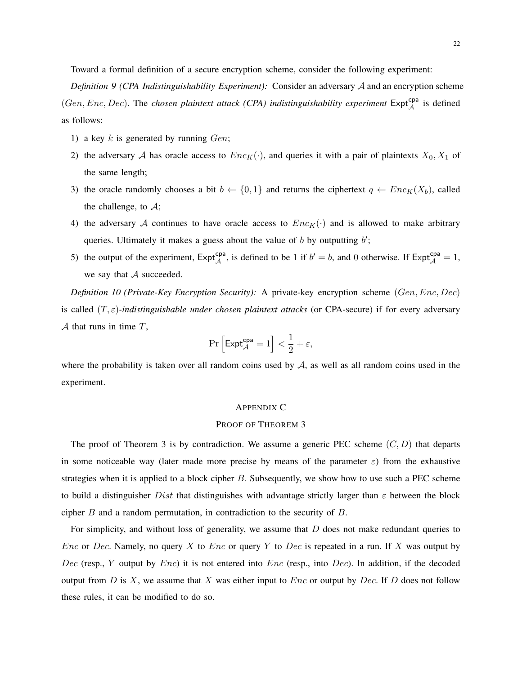Toward a formal definition of a secure encryption scheme, consider the following experiment:

*Definition 9 (CPA Indistinguishability Experiment):* Consider an adversary A and an encryption scheme  $(Gen, Enc, Dec)$ . The *chosen plaintext attack (CPA) indistinguishability experiment*  $Expt_A^{cpa}$  is defined as follows:

- 1) a key  $k$  is generated by running  $Gen;$
- 2) the adversary A has oracle access to  $Enc_K(\cdot)$ , and queries it with a pair of plaintexts  $X_0, X_1$  of the same length;
- 3) the oracle randomly chooses a bit  $b \leftarrow \{0, 1\}$  and returns the ciphertext  $q \leftarrow Enc_K(X_b)$ , called the challenge, to  $A$ ;
- 4) the adversary A continues to have oracle access to  $Enc_K(\cdot)$  and is allowed to make arbitrary queries. Ultimately it makes a guess about the value of  $b$  by outputting  $b'$ ;
- 5) the output of the experiment,  $Expt_A^{cpa}$ , is defined to be 1 if  $b' = b$ , and 0 otherwise. If  $Expt_A^{cpa} = 1$ , we say that  $A$  succeeded.

*Definition 10 (Private-Key Encryption Security):* A private-key encryption scheme (Gen, Enc, Dec) is called (T, ε)*-indistinguishable under chosen plaintext attacks* (or CPA-secure) if for every adversary  $A$  that runs in time  $T$ ,

$$
\Pr\left[\mathsf{Expt}^{\mathsf{cpa}}_{\mathcal{A}} = 1\right] < \frac{1}{2} + \varepsilon,
$$

where the probability is taken over all random coins used by  $A$ , as well as all random coins used in the experiment.

# APPENDIX C

#### PROOF OF THEOREM 3

The proof of Theorem 3 is by contradiction. We assume a generic PEC scheme  $(C, D)$  that departs in some noticeable way (later made more precise by means of the parameter  $\varepsilon$ ) from the exhaustive strategies when it is applied to a block cipher  $B$ . Subsequently, we show how to use such a PEC scheme to build a distinguisher Dist that distinguishes with advantage strictly larger than  $\varepsilon$  between the block cipher B and a random permutation, in contradiction to the security of B.

For simplicity, and without loss of generality, we assume that D does not make redundant queries to *Enc* or *Dec.* Namely, no query X to *Enc* or query Y to *Dec* is repeated in a run. If X was output by Dec (resp., Y output by  $Enc$ ) it is not entered into  $Enc$  (resp., into Dec). In addition, if the decoded output from  $D$  is  $X$ , we assume that  $X$  was either input to  $Enc$  or output by  $Dec$ . If  $D$  does not follow these rules, it can be modified to do so.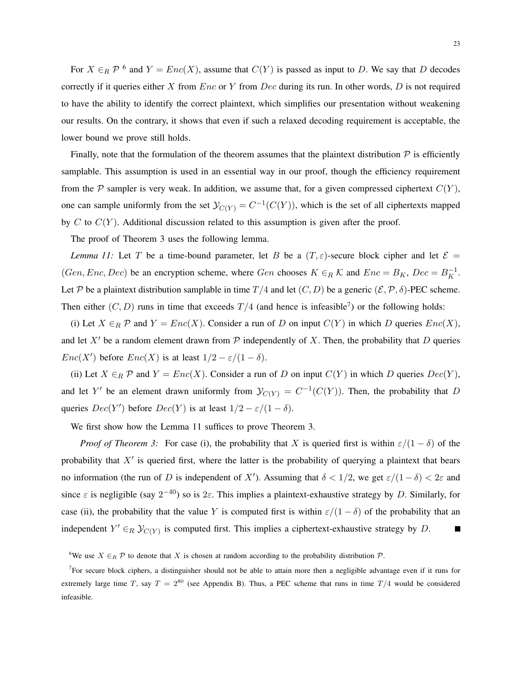For  $X \in_R \mathcal{P}$  <sup>6</sup> and  $Y = Enc(X)$ , assume that  $C(Y)$  is passed as input to D. We say that D decodes correctly if it queries either  $X$  from  $Enc$  or  $Y$  from  $Dec$  during its run. In other words,  $D$  is not required to have the ability to identify the correct plaintext, which simplifies our presentation without weakening our results. On the contrary, it shows that even if such a relaxed decoding requirement is acceptable, the lower bound we prove still holds.

Finally, note that the formulation of the theorem assumes that the plaintext distribution  $P$  is efficiently samplable. This assumption is used in an essential way in our proof, though the efficiency requirement from the P sampler is very weak. In addition, we assume that, for a given compressed ciphertext  $C(Y)$ , one can sample uniformly from the set  $\mathcal{Y}_{C(Y)} = C^{-1}(C(Y))$ , which is the set of all ciphertexts mapped by C to  $C(Y)$ . Additional discussion related to this assumption is given after the proof.

The proof of Theorem 3 uses the following lemma.

*Lemma 11:* Let T be a time-bound parameter, let B be a  $(T, \varepsilon)$ -secure block cipher and let  $\mathcal{E} =$ (Gen, Enc, Dec) be an encryption scheme, where Gen chooses  $K \in_R \mathcal{K}$  and  $Enc = B_K$ , Dec =  $B_K^{-1}$ . Let P be a plaintext distribution samplable in time  $T/4$  and let  $(C, D)$  be a generic  $(\mathcal{E}, \mathcal{P}, \delta)$ -PEC scheme. Then either  $(C, D)$  runs in time that exceeds  $T/4$  (and hence is infeasible<sup>7</sup>) or the following holds:

(i) Let  $X \in_R \mathcal{P}$  and  $Y = Enc(X)$ . Consider a run of D on input  $C(Y)$  in which D queries  $Enc(X)$ , and let  $X'$  be a random element drawn from  $P$  independently of X. Then, the probability that D queries  $Enc(X')$  before  $Enc(X)$  is at least  $1/2 - \varepsilon/(1 - \delta)$ .

(ii) Let  $X \in_R \mathcal{P}$  and  $Y = Enc(X)$ . Consider a run of D on input  $C(Y)$  in which D queries  $Dec(Y)$ , and let Y' be an element drawn uniformly from  $\mathcal{Y}_{C(Y)} = C^{-1}(C(Y))$ . Then, the probability that D queries  $Dec(Y')$  before  $Dec(Y)$  is at least  $1/2 - \varepsilon/(1 - \delta)$ .

We first show how the Lemma 11 suffices to prove Theorem 3.

*Proof of Theorem 3:* For case (i), the probability that X is queried first is within  $\varepsilon/(1-\delta)$  of the probability that  $X'$  is queried first, where the latter is the probability of querying a plaintext that bears no information (the run of D is independent of X'). Assuming that  $\delta < 1/2$ , we get  $\varepsilon/(1-\delta) < 2\varepsilon$  and since  $\varepsilon$  is negligible (say  $2^{-40}$ ) so is  $2\varepsilon$ . This implies a plaintext-exhaustive strategy by D. Similarly, for case (ii), the probability that the value Y is computed first is within  $\varepsilon/(1-\delta)$  of the probability that an independent  $Y' \in_R \mathcal{Y}_{C(Y)}$  is computed first. This implies a ciphertext-exhaustive strategy by D.  $\blacksquare$ 

<sup>6</sup>We use  $X \in_R \mathcal{P}$  to denote that X is chosen at random according to the probability distribution  $\mathcal{P}$ .

<sup>7</sup>For secure block ciphers, a distinguisher should not be able to attain more then a negligible advantage even if it runs for extremely large time T, say  $T = 2^{80}$  (see Appendix B). Thus, a PEC scheme that runs in time  $T/4$  would be considered infeasible.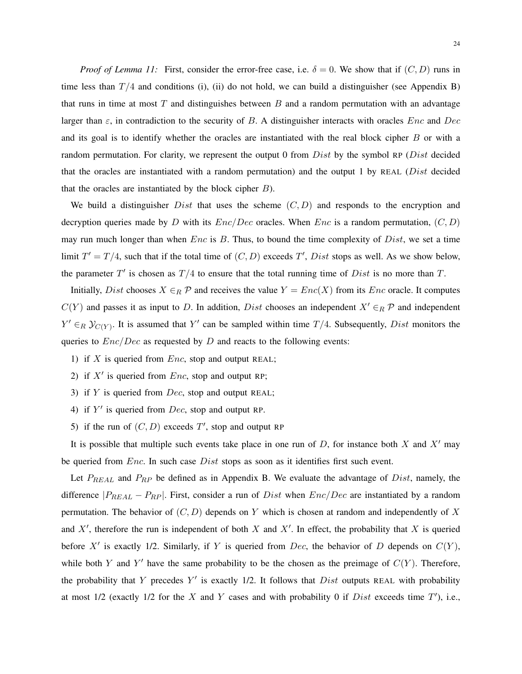*Proof of Lemma 11:* First, consider the error-free case, i.e.  $\delta = 0$ . We show that if  $(C, D)$  runs in time less than  $T/4$  and conditions (i), (ii) do not hold, we can build a distinguisher (see Appendix B) that runs in time at most  $T$  and distinguishes between  $B$  and a random permutation with an advantage larger than  $\varepsilon$ , in contradiction to the security of B. A distinguisher interacts with oracles  $Enc$  and  $Dec$ and its goal is to identify whether the oracles are instantiated with the real block cipher B or with a random permutation. For clarity, we represent the output 0 from  $Dist$  by the symbol RP ( $Dist$  decided that the oracles are instantiated with a random permutation) and the output 1 by REAL ( $Dist$  decided that the oracles are instantiated by the block cipher  $B$ ).

We build a distinguisher  $Dist$  that uses the scheme  $(C, D)$  and responds to the encryption and decryption queries made by D with its  $Enc/Dec$  oracles. When  $Enc$  is a random permutation,  $(C, D)$ may run much longer than when  $Enc$  is  $B$ . Thus, to bound the time complexity of  $Dist$ , we set a time limit  $T' = T/4$ , such that if the total time of  $(C, D)$  exceeds T', Dist stops as well. As we show below, the parameter  $T'$  is chosen as  $T/4$  to ensure that the total running time of  $Dist$  is no more than  $T$ .

Initially, Dist chooses  $X \in_R \mathcal{P}$  and receives the value  $Y = Enc(X)$  from its Enc oracle. It computes  $C(Y)$  and passes it as input to D. In addition, Dist chooses an independent  $X' \in_R \mathcal{P}$  and independent  $Y' \in_R \mathcal{Y}_{C(Y)}$ . It is assumed that Y' can be sampled within time  $T/4$ . Subsequently, *Dist* monitors the queries to  $Enc/Dec$  as requested by  $D$  and reacts to the following events:

- 1) if X is queried from  $Enc$ , stop and output REAL;
- 2) if  $X'$  is queried from  $Enc$ , stop and output RP;
- 3) if  $Y$  is queried from  $Dec$ , stop and output REAL;
- 4) if  $Y'$  is queried from  $Dec$ , stop and output RP.
- 5) if the run of  $(C, D)$  exceeds  $T'$ , stop and output RP

It is possible that multiple such events take place in one run of  $D$ , for instance both  $X$  and  $X'$  may be queried from  $Enc$ . In such case  $Dist$  stops as soon as it identifies first such event.

Let  $P_{REAL}$  and  $P_{RP}$  be defined as in Appendix B. We evaluate the advantage of  $Dist$ , namely, the difference  $|P_{REAL} - P_{RP}|$ . First, consider a run of Dist when  $Enc/Dec$  are instantiated by a random permutation. The behavior of  $(C, D)$  depends on Y which is chosen at random and independently of X and  $X'$ , therefore the run is independent of both X and  $X'$ . In effect, the probability that X is queried before X' is exactly 1/2. Similarly, if Y is queried from Dec, the behavior of D depends on  $C(Y)$ , while both Y and Y' have the same probability to be the chosen as the preimage of  $C(Y)$ . Therefore, the probability that Y precedes Y' is exactly 1/2. It follows that  $Dist$  outputs REAL with probability at most  $1/2$  (exactly  $1/2$  for the X and Y cases and with probability 0 if Dist exceeds time  $T'$ ), i.e.,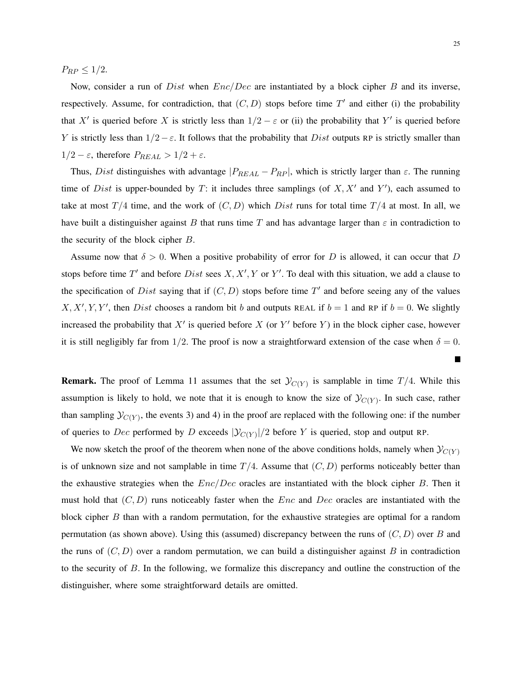$P_{RP} \leq 1/2$ .

Now, consider a run of *Dist* when  $Enc/Dec$  are instantiated by a block cipher B and its inverse, respectively. Assume, for contradiction, that  $(C, D)$  stops before time  $T'$  and either (i) the probability that X' is queried before X is strictly less than  $1/2 - \varepsilon$  or (ii) the probability that Y' is queried before Y is strictly less than  $1/2 - \varepsilon$ . It follows that the probability that Dist outputs RP is strictly smaller than  $1/2 - \varepsilon$ , therefore  $P_{REAL} > 1/2 + \varepsilon$ .

Thus, Dist distinguishes with advantage  $|P_{REAL} - P_{RP}|$ , which is strictly larger than  $\varepsilon$ . The running time of Dist is upper-bounded by T: it includes three samplings (of  $X, X'$  and Y'), each assumed to take at most  $T/4$  time, and the work of  $(C, D)$  which Dist runs for total time  $T/4$  at most. In all, we have built a distinguisher against B that runs time T and has advantage larger than  $\varepsilon$  in contradiction to the security of the block cipher B.

Assume now that  $\delta > 0$ . When a positive probability of error for D is allowed, it can occur that D stops before time T' and before Dist sees  $X, X', Y$  or Y'. To deal with this situation, we add a clause to the specification of Dist saying that if  $(C, D)$  stops before time T' and before seeing any of the values  $X, X', Y, Y'$ , then Dist chooses a random bit b and outputs REAL if  $b = 1$  and RP if  $b = 0$ . We slightly increased the probability that  $X'$  is queried before X (or Y' before Y) in the block cipher case, however it is still negligibly far from 1/2. The proof is now a straightforward extension of the case when  $\delta = 0$ .

**Remark.** The proof of Lemma 11 assumes that the set  $\mathcal{Y}_{C(Y)}$  is samplable in time  $T/4$ . While this assumption is likely to hold, we note that it is enough to know the size of  $\mathcal{Y}_{C(Y)}$ . In such case, rather than sampling  $\mathcal{Y}_{C(Y)}$ , the events 3) and 4) in the proof are replaced with the following one: if the number of queries to Dec performed by D exceeds  $|\mathcal{Y}_{C(Y)}|/2$  before Y is queried, stop and output RP.

We now sketch the proof of the theorem when none of the above conditions holds, namely when  $\mathcal{Y}_{C(Y)}$ is of unknown size and not samplable in time  $T/4$ . Assume that  $(C, D)$  performs noticeably better than the exhaustive strategies when the  $Enc/Dec$  oracles are instantiated with the block cipher B. Then it must hold that  $(C, D)$  runs noticeably faster when the *Enc* and *Dec* oracles are instantiated with the block cipher  $B$  than with a random permutation, for the exhaustive strategies are optimal for a random permutation (as shown above). Using this (assumed) discrepancy between the runs of  $(C, D)$  over B and the runs of  $(C, D)$  over a random permutation, we can build a distinguisher against B in contradiction to the security of B. In the following, we formalize this discrepancy and outline the construction of the distinguisher, where some straightforward details are omitted.

 $\blacksquare$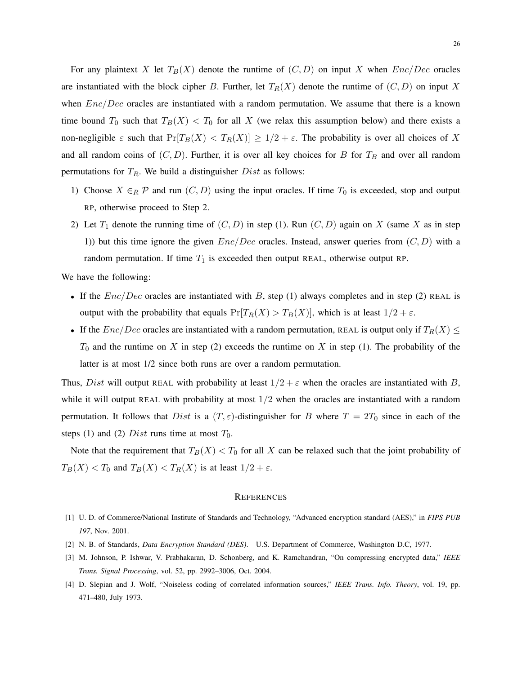For any plaintext X let  $T_B(X)$  denote the runtime of  $(C, D)$  on input X when  $Enc/Dec$  oracles are instantiated with the block cipher B. Further, let  $T_R(X)$  denote the runtime of  $(C, D)$  on input X when  $Enc/Dec$  oracles are instantiated with a random permutation. We assume that there is a known time bound  $T_0$  such that  $T_B(X) < T_0$  for all X (we relax this assumption below) and there exists a non-negligible  $\varepsilon$  such that  $Pr[T_B(X) < T_R(X)] \ge 1/2 + \varepsilon$ . The probability is over all choices of X and all random coins of  $(C, D)$ . Further, it is over all key choices for B for  $T_B$  and over all random permutations for  $T_R$ . We build a distinguisher  $Dist$  as follows:

- 1) Choose  $X \in_R \mathcal{P}$  and run  $(C, D)$  using the input oracles. If time  $T_0$  is exceeded, stop and output RP, otherwise proceed to Step 2.
- 2) Let  $T_1$  denote the running time of  $(C, D)$  in step (1). Run  $(C, D)$  again on X (same X as in step 1)) but this time ignore the given  $Enc/Dec$  oracles. Instead, answer queries from  $(C, D)$  with a random permutation. If time  $T_1$  is exceeded then output REAL, otherwise output RP.

We have the following:

- If the  $Enc/Dec$  oracles are instantiated with B, step (1) always completes and in step (2) REAL is output with the probability that equals  $Pr[T_R(X) > T_B(X)]$ , which is at least  $1/2 + \varepsilon$ .
- If the  $Enc/Dec$  oracles are instantiated with a random permutation, REAL is output only if  $T_R(X) \leq$  $T_0$  and the runtime on X in step (2) exceeds the runtime on X in step (1). The probability of the latter is at most 1/2 since both runs are over a random permutation.

Thus, Dist will output REAL with probability at least  $1/2 + \varepsilon$  when the oracles are instantiated with B, while it will output REAL with probability at most  $1/2$  when the oracles are instantiated with a random permutation. It follows that Dist is a  $(T, \varepsilon)$ -distinguisher for B where  $T = 2T_0$  since in each of the steps (1) and (2) Dist runs time at most  $T_0$ .

Note that the requirement that  $T_B(X) < T_0$  for all X can be relaxed such that the joint probability of  $T_B(X) < T_0$  and  $T_B(X) < T_R(X)$  is at least  $1/2 + \varepsilon$ .

#### **REFERENCES**

- [1] U. D. of Commerce/National Institute of Standards and Technology, "Advanced encryption standard (AES)," in *FIPS PUB 197*, Nov. 2001.
- [2] N. B. of Standards, *Data Encryption Standard (DES)*. U.S. Department of Commerce, Washington D.C, 1977.
- [3] M. Johnson, P. Ishwar, V. Prabhakaran, D. Schonberg, and K. Ramchandran, "On compressing encrypted data," *IEEE Trans. Signal Processing*, vol. 52, pp. 2992–3006, Oct. 2004.
- [4] D. Slepian and J. Wolf, "Noiseless coding of correlated information sources," *IEEE Trans. Info. Theory*, vol. 19, pp. 471–480, July 1973.